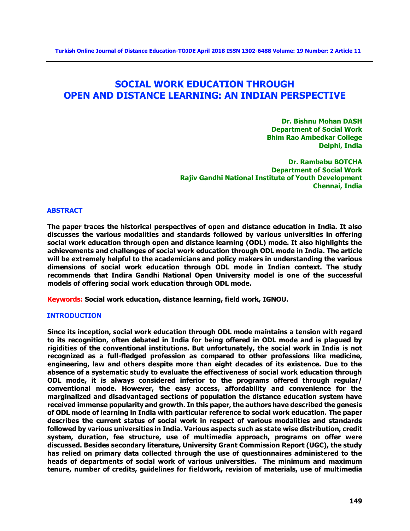# **SOCIAL WORK EDUCATION THROUGH OPEN AND DISTANCE LEARNING: AN INDIAN PERSPECTIVE**

**Dr. Bishnu Mohan DASH Department of Social Work Bhim Rao Ambedkar College Delphi, India**

**Dr. Rambabu BOTCHA Department of Social Work Rajiv Gandhi National Institute of Youth Development Chennai, India**

#### **ABSTRACT**

**The paper traces the historical perspectives of open and distance education in India. It also discusses the various modalities and standards followed by various universities in offering social work education through open and distance learning (ODL) mode. It also highlights the achievements and challenges of social work education through ODL mode in India. The article will be extremely helpful to the academicians and policy makers in understanding the various dimensions of social work education through ODL mode in Indian context. The study recommends that Indira Gandhi National Open University model is one of the successful models of offering social work education through ODL mode.**

**Keywords: Social work education, distance learning, field work, IGNOU.**

#### **INTRODUCTION**

**Since its inception, social work education through ODL mode maintains a tension with regard to its recognition, often debated in India for being offered in ODL mode and is plagued by rigidities of the conventional institutions. But unfortunately, the social work in India is not recognized as a full-fledged profession as compared to other professions like medicine, engineering, law and others despite more than eight decades of its existence. Due to the absence of a systematic study to evaluate the effectiveness of social work education through ODL mode, it is always considered inferior to the programs offered through regular/ conventional mode. However, the easy access, affordability and convenience for the marginalized and disadvantaged sections of population the distance education system have received immense popularity and growth. In this paper, the authors have described the genesis of ODL mode of learning in India with particular reference to social work education. The paper describes the current status of social work in respect of various modalities and standards followed by various universities in India. Various aspects such as state wise distribution, credit system, duration, fee structure, use of multimedia approach, programs on offer were discussed. Besides secondary literature, University Grant Commission Report (UGC), the study has relied on primary data collected through the use of questionnaires administered to the heads of departments of social work of various universities. The minimum and maximum tenure, number of credits, guidelines for fieldwork, revision of materials, use of multimedia**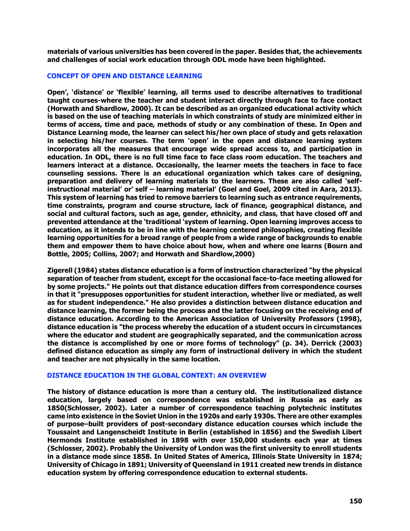**materials of various universities has been covered in the paper. Besides that, the achievements and challenges of social work education through ODL mode have been highlighted.**

#### **CONCEPT OF OPEN AND DISTANCE LEARNING**

**Open', 'distance' or 'flexible' learning, all terms used to describe alternatives to traditional taught courses-where the teacher and student interact directly through face to face contact (Horwath and Shardlow, 2000). It can be described as an organized educational activity which is based on the use of teaching materials in which constraints of study are minimized either in terms of access, time and pace, methods of study or any combination of these. In Open and Distance Learning mode, the learner can select his/her own place of study and gets relaxation in selecting his/her courses. The term 'open' in the open and distance learning system incorporates all the measures that encourage wide spread access to, and participation in education. In ODL, there is no full time face to face class room education. The teachers and learners interact at a distance. Occasionally, the learner meets the teachers in face to face counseling sessions. There is an educational organization which takes care of designing, preparation and delivery of learning materials to the learners. These are also called 'selfinstructional material' or' self – learning material' (Goel and Goel, 2009 cited in Aara, 2013). This system of learning has tried to remove barriers to learning such as entrance requirements, time constraints, program and course structure, lack of finance, geographical distance, and social and cultural factors, such as age, gender, ethnicity, and class, that have closed off and prevented attendance at the 'traditional 'system of learning. Open learning improves access to education, as it intends to be in line with the learning centered philosophies, creating flexible learning opportunities for a broad range of people from a wide range of backgrounds to enable them and empower them to have choice about how, when and where one learns (Bourn and Bottle, 2005; Collins, 2007; and Horwath and Shardlow,2000)** 

**Zigerell (1984) states distance education is a form of instruction characterized "by the physical separation of teacher from student, except for the occasional face-to-face meeting allowed for by some projects." He points out that distance education differs from correspondence courses in that it "presupposes opportunities for student interaction, whether live or mediated, as well as for student independence." He also provides a distinction between distance education and distance learning, the former being the process and the latter focusing on the receiving end of distance education. According to the American Association of University Professors (1998), distance education is "the process whereby the education of a student occurs in circumstances where the educator and student are geographically separated, and the communication across the distance is accomplished by one or more forms of technology" (p. 34). Derrick (2003) defined distance education as simply any form of instructional delivery in which the student and teacher are not physically in the same location.** 

## **DISTANCE EDUCATION IN THE GLOBAL CONTEXT: AN OVERVIEW**

**The history of distance education is more than a century old. The institutionalized distance education, largely based on correspondence was established in Russia as early as 1850(Schlosser, 2002). Later a number of correspondence teaching polytechnic institutes came into existence in the Soviet Union in the 1920s and early 1930s. There are other examples of purpose–built providers of post-secondary distance education courses which include the Toussaint and Langenscheidt Institute in Berlin (established in 1856) and the Swedish Libert Hermonds Institute established in 1898 with over 150,000 students each year at times (Schlosser, 2002). Probably the University of London was the first university to enroll students in a distance mode since 1858. In United States of America, Illinois State University in 1874; University of Chicago in 1891; University of Queensland in 1911 created new trends in distance education system by offering correspondence education to external students.**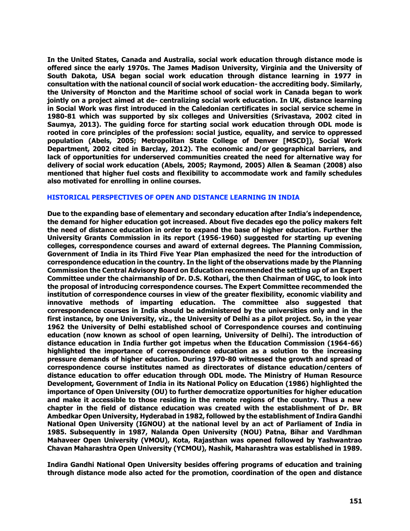**In the United States, Canada and Australia, social work education through distance mode is offered since the early 1970s. The James Madison University, Virginia and the University of South Dakota, USA began social work education through distance learning in 1977 in consultation with the national council of social work education- the accrediting body. Similarly, the University of Moncton and the Maritime school of social work in Canada began to work jointly on a project aimed at de- centralizing social work education. In UK, distance learning in Social Work was first introduced in the Caledonian certificates in social service scheme in 1980-81 which was supported by six colleges and Universities (Srivastava, 2002 cited in Saumya, 2013). The guiding force for starting social work education through ODL mode is rooted in core principles of the profession: social justice, equality, and service to oppressed population (Abels, 2005; Metropolitan State College of Denver [MSCD]), Social Work Department, 2002 cited in Barclay, 2012). The economic and/or geographical barriers, and lack of opportunities for underserved communities created the need for alternative way for delivery of social work education (Abels, 2005; Raymond, 2005) Allen & Seaman (2008) also mentioned that higher fuel costs and flexibility to accommodate work and family schedules also motivated for enrolling in online courses.** 

#### **HISTORICAL PERSPECTIVES OF OPEN AND DISTANCE LEARNING IN INDIA**

**Due to the expanding base of elementary and secondary education after India's independence, the demand for higher education got increased. About five decades ego the policy makers felt the need of distance education in order to expand the base of higher education. Further the University Grants Commission in its report (1956-1960) suggested for starting up evening colleges, correspondence courses and award of external degrees. The Planning Commission, Government of India in its Third Five Year Plan emphasized the need for the introduction of correspondence education in the country. In the light of the observations made by the Planning Commission the Central Advisory Board on Education recommended the setting up of an Expert Committee under the chairmanship of Dr. D.S. Kothari, the then Chairman of UGC, to look into the proposal of introducing correspondence courses. The Expert Committee recommended the institution of correspondence courses in view of the greater flexibility, economic viability and innovative methods of imparting education. The committee also suggested that correspondence courses in India should be administered by the universities only and in the first instance, by one University, viz., the University of Delhi as a pilot project. So, in the year 1962 the University of Delhi established school of Correspondence courses and continuing education (now known as school of open learning, University of Delhi). The introduction of distance education in India further got impetus when the Education Commission (1964-66) highlighted the importance of correspondence education as a solution to the increasing pressure demands of higher education. During 1970-80 witnessed the growth and spread of correspondence course institutes named as directorates of distance education/centers of distance education to offer education through ODL mode. The Ministry of Human Resource Development, Government of India in its National Policy on Education (1986) highlighted the importance of Open University (OU) to further democratize opportunities for higher education and make it accessible to those residing in the remote regions of the country. Thus a new chapter in the field of distance education was created with the establishment of Dr. BR Ambedkar Open University, Hyderabad in 1982, followed by the establishment of Indira Gandhi National Open University (IGNOU) at the national level by an act of Parliament of India in 1985. Subsequently in 1987, Nalanda Open University (NOU) Patna, Bihar and Vardhman Mahaveer Open University (VMOU), Kota, Rajasthan was opened followed by Yashwantrao Chavan Maharashtra Open University (YCMOU), Nashik, Maharashtra was established in 1989.**

**Indira Gandhi National Open University besides offering programs of education and training through distance mode also acted for the promotion, coordination of the open and distance**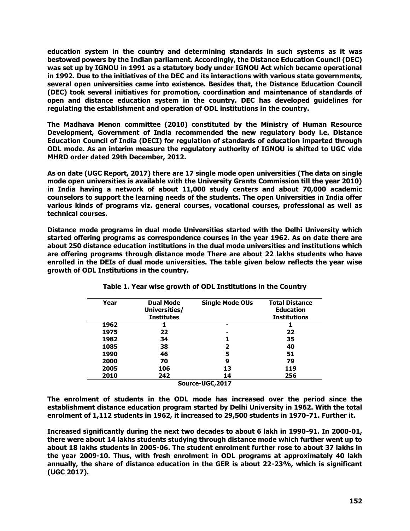**education system in the country and determining standards in such systems as it was bestowed powers by the Indian parliament. Accordingly, the Distance Education Council (DEC) was set up by IGNOU in 1991 as a statutory body under IGNOU Act which became operational in 1992. Due to the initiatives of the DEC and its interactions with various state governments, several open universities came into existence. Besides that, the Distance Education Council (DEC) took several initiatives for promotion, coordination and maintenance of standards of open and distance education system in the country. DEC has developed guidelines for regulating the establishment and operation of ODL institutions in the country.**

**The Madhava Menon committee (2010) constituted by the Ministry of Human Resource Development, Government of India recommended the new regulatory body i.e. Distance Education Council of India (DECI) for regulation of standards of education imparted through ODL mode. As an interim measure the regulatory authority of IGNOU is shifted to UGC vide MHRD order dated 29th December, 2012.**

**As on date (UGC Report, 2017) there are 17 single mode open universities (The data on single mode open universities is available with the University Grants Commission till the year 2010) in India having a network of about 11,000 study centers and about 70,000 academic counselors to support the learning needs of the students. The open Universities in India offer various kinds of programs viz. general courses, vocational courses, professional as well as technical courses.**

**Distance mode programs in dual mode Universities started with the Delhi University which started offering programs as correspondence courses in the year 1962. As on date there are about 250 distance education institutions in the dual mode universities and institutions which are offering programs through distance mode There are about 22 lakhs students who have enrolled in the DEIs of dual mode universities. The table given below reflects the year wise growth of ODL Institutions in the country.**

| Year             | <b>Dual Mode</b>  | <b>Single Mode OUs</b> | <b>Total Distance</b> |  |  |
|------------------|-------------------|------------------------|-----------------------|--|--|
|                  | Universities/     |                        | <b>Education</b>      |  |  |
|                  | <b>Institutes</b> |                        | <b>Institutions</b>   |  |  |
| 1962             |                   |                        |                       |  |  |
| 1975             | 22                | -                      | 22                    |  |  |
| 1982             | 34                |                        | 35                    |  |  |
| 1085             | 38                | 2                      | 40                    |  |  |
| 1990             | 46                | 5                      | 51                    |  |  |
| 2000             | 70                | 9                      | 79                    |  |  |
| 2005             | 106               | 13                     | 119                   |  |  |
| 2010             | 242               | 14                     | 256                   |  |  |
| Source-UGC, 2017 |                   |                        |                       |  |  |

**Table 1. Year wise growth of ODL Institutions in the Country**

**The enrolment of students in the ODL mode has increased over the period since the establishment distance education program started by Delhi University in 1962. With the total enrolment of 1,112 students in 1962, it increased to 29,500 students in 1970-71. Further it.**

**Increased significantly during the next two decades to about 6 lakh in 1990-91. In 2000-01, there were about 14 lakhs students studying through distance mode which further went up to about 18 lakhs students in 2005-06. The student enrolment further rose to about 37 lakhs in the year 2009-10. Thus, with fresh enrolment in ODL programs at approximately 40 lakh annually, the share of distance education in the GER is about 22-23%, which is significant (UGC 2017).**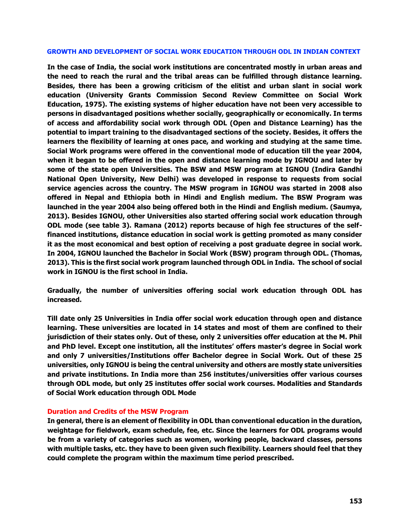#### **GROWTH AND DEVELOPMENT OF SOCIAL WORK EDUCATION THROUGH ODL IN INDIAN CONTEXT**

**In the case of India, the social work institutions are concentrated mostly in urban areas and the need to reach the rural and the tribal areas can be fulfilled through distance learning. Besides, there has been a growing criticism of the elitist and urban slant in social work education (University Grants Commission Second Review Committee on Social Work Education, 1975). The existing systems of higher education have not been very accessible to persons in disadvantaged positions whether socially, geographically or economically. In terms of access and affordability social work through ODL (Open and Distance Learning) has the potential to impart training to the disadvantaged sections of the society. Besides, it offers the learners the flexibility of learning at ones pace, and working and studying at the same time. Social Work programs were offered in the conventional mode of education till the year 2004, when it began to be offered in the open and distance learning mode by IGNOU and later by some of the state open Universities. The BSW and MSW program at IGNOU (Indira Gandhi National Open University, New Delhi) was developed in response to requests from social service agencies across the country. The MSW program in IGNOU was started in 2008 also offered in Nepal and Ethiopia both in Hindi and English medium. The BSW Program was launched in the year 2004 also being offered both in the Hindi and English medium. (Saumya, 2013). Besides IGNOU, other Universities also started offering social work education through ODL mode (see table 3). Ramana (2012) reports because of high fee structures of the selffinanced institutions, distance education in social work is getting promoted as many consider it as the most economical and best option of receiving a post graduate degree in social work. In 2004, IGNOU launched the Bachelor in Social Work (BSW) program through ODL. (Thomas, 2013). This is the first social work program launched through ODL in India. The school of social work in IGNOU is the first school in India.**

**Gradually, the number of universities offering social work education through ODL has increased.** 

**Till date only 25 Universities in India offer social work education through open and distance learning. These universities are located in 14 states and most of them are confined to their jurisdiction of their states only. Out of these, only 2 universities offer education at the M. Phil and PhD level. Except one institution, all the institutes' offers master's degree in Social work and only 7 universities/Institutions offer Bachelor degree in Social Work. Out of these 25 universities, only IGNOU is being the central university and others are mostly state universities and private institutions. In India more than 256 institutes/universities offer various courses through ODL mode, but only 25 institutes offer social work courses. Modalities and Standards of Social Work education through ODL Mode**

#### **Duration and Credits of the MSW Program**

**In general, there is an element of flexibility in ODL than conventional education in the duration, weightage for fieldwork, exam schedule, fee, etc. Since the learners for ODL programs would be from a variety of categories such as women, working people, backward classes, persons with multiple tasks, etc. they have to been given such flexibility. Learners should feel that they could complete the program within the maximum time period prescribed.**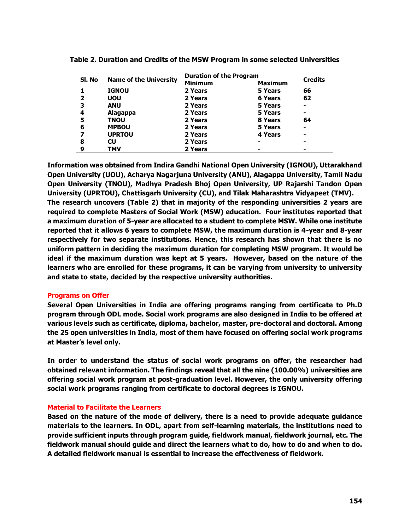| Sl. No | <b>Name of the University</b> | <b>Duration of the Program</b> |                |                |
|--------|-------------------------------|--------------------------------|----------------|----------------|
|        |                               | <b>Minimum</b>                 | <b>Maximum</b> | <b>Credits</b> |
|        | <b>IGNOU</b>                  | 2 Years                        | 5 Years        | 66             |
|        | <b>UOU</b>                    | 2 Years                        | <b>6 Years</b> | 62             |
| 3      | <b>ANU</b>                    | 2 Years                        | 5 Years        | $\blacksquare$ |
| 4      | Alagappa                      | 2 Years                        | 5 Years        | -              |
| 5      | <b>TNOU</b>                   | 2 Years                        | 8 Years        | 64             |
| 6      | <b>MPBOU</b>                  | 2 Years                        | 5 Years        | ٠              |
|        | <b>UPRTOU</b>                 | 2 Years                        | <b>4 Years</b> |                |
| 8      | <b>CU</b>                     | 2 Years                        |                | -              |
| 9      | TMV                           | 2 Years                        |                |                |

**Table 2. Duration and Credits of the MSW Program in some selected Universities**

**Information was obtained from Indira Gandhi National Open University (IGNOU), Uttarakhand Open University (UOU), Acharya Nagarjuna University (ANU), Alagappa University, Tamil Nadu Open University (TNOU), Madhya Pradesh Bhoj Open University, UP Rajarshi Tandon Open University (UPRTOU), Chattisgarh University (CU), and Tilak Maharashtra Vidyapeet (TMV). The research uncovers (Table 2) that in majority of the responding universities 2 years are required to complete Masters of Social Work (MSW) education. Four institutes reported that a maximum duration of 5-year are allocated to a student to complete MSW. While one institute reported that it allows 6 years to complete MSW, the maximum duration is 4-year and 8-year respectively for two separate institutions. Hence, this research has shown that there is no uniform pattern in deciding the maximum duration for completing MSW program. It would be ideal if the maximum duration was kept at 5 years. However, based on the nature of the learners who are enrolled for these programs, it can be varying from university to university and state to state, decided by the respective university authorities.** 

#### **Programs on Offer**

**Several Open Universities in India are offering programs ranging from certificate to Ph.D program through ODL mode. Social work programs are also designed in India to be offered at various levels such as certificate, diploma, bachelor, master, pre-doctoral and doctoral. Among the 25 open universities in India, most of them have focused on offering social work programs at Master's level only.** 

**In order to understand the status of social work programs on offer, the researcher had obtained relevant information. The findings reveal that all the nine (100.00%) universities are offering social work program at post-graduation level. However, the only university offering social work programs ranging from certificate to doctoral degrees is IGNOU.** 

## **Material to Facilitate the Learners**

**Based on the nature of the mode of delivery, there is a need to provide adequate guidance materials to the learners. In ODL, apart from self-learning materials, the institutions need to provide sufficient inputs through program guide, fieldwork manual, fieldwork journal, etc. The fieldwork manual should guide and direct the learners what to do, how to do and when to do. A detailed fieldwork manual is essential to increase the effectiveness of fieldwork.**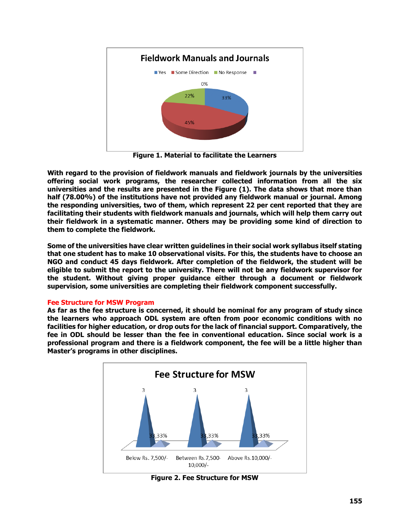

**Figure 1. Material to facilitate the Learners**

**With regard to the provision of fieldwork manuals and fieldwork journals by the universities offering social work programs, the researcher collected information from all the six universities and the results are presented in the Figure (1). The data shows that more than half (78.00%) of the institutions have not provided any fieldwork manual or journal. Among the responding universities, two of them, which represent 22 per cent reported that they are facilitating their students with fieldwork manuals and journals, which will help them carry out their fieldwork in a systematic manner. Others may be providing some kind of direction to them to complete the fieldwork.** 

**Some of the universities have clear written guidelines in their social work syllabus itself stating that one student has to make 10 observational visits. For this, the students have to choose an NGO and conduct 45 days fieldwork. After completion of the fieldwork, the student will be eligible to submit the report to the university. There will not be any fieldwork supervisor for the student. Without giving proper guidance either through a document or fieldwork supervision, some universities are completing their fieldwork component successfully.** 

# **Fee Structure for MSW Program**

**As far as the fee structure is concerned, it should be nominal for any program of study since the learners who approach ODL system are often from poor economic conditions with no facilities for higher education, or drop outs for the lack of financial support. Comparatively, the fee in ODL should be lesser than the fee in conventional education. Since social work is a professional program and there is a fieldwork component, the fee will be a little higher than Master's programs in other disciplines.** 



**Figure 2. Fee Structure for MSW**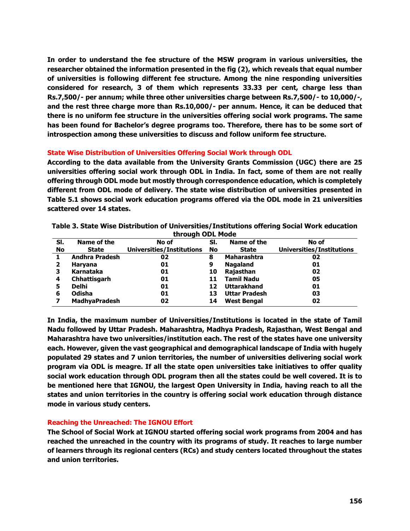**In order to understand the fee structure of the MSW program in various universities, the researcher obtained the information presented in the fig (2), which reveals that equal number of universities is following different fee structure. Among the nine responding universities considered for research, 3 of them which represents 33.33 per cent, charge less than Rs.7,500/- per annum; while three other universities charge between Rs.7,500/- to 10,000/-, and the rest three charge more than Rs.10,000/- per annum. Hence, it can be deduced that there is no uniform fee structure in the universities offering social work programs. The same has been found for Bachelor's degree programs too. Therefore, there has to be some sort of introspection among these universities to discuss and follow uniform fee structure.** 

## **State Wise Distribution of Universities Offering Social Work through ODL**

**According to the data available from the University Grants Commission (UGC) there are 25 universities offering social work through ODL in India. In fact, some of them are not really offering through ODL mode but mostly through correspondence education, which is completely different from ODL mode of delivery. The state wise distribution of universities presented in Table 5.1 shows social work education programs offered via the ODL mode in 21 universities scattered over 14 states.** 

| through ODL Mode |                       |                                  |     |                      |                                  |
|------------------|-----------------------|----------------------------------|-----|----------------------|----------------------------------|
| SI.              | Name of the           | No of                            | SI. | Name of the          | No of                            |
| No               | State                 | <b>Universities/Institutions</b> | No  | <b>State</b>         | <b>Universities/Institutions</b> |
|                  | <b>Andhra Pradesh</b> | 02                               | 8   | <b>Maharashtra</b>   | 02                               |
| 2                | Haryana               | 01                               | 9   | <b>Nagaland</b>      | 01                               |
| з                | Karnataka             | 01                               | 10  | Rajasthan            | 02                               |
| 4                | Chhattisgarh          | 01                               | 11  | <b>Tamil Nadu</b>    | 05                               |
| 5                | <b>Delhi</b>          | 01                               | 12  | <b>Uttarakhand</b>   | 01                               |
| 6                | Odisha                | 01                               | 13  | <b>Uttar Pradesh</b> | 03                               |
|                  | <b>MadhyaPradesh</b>  | 02                               | 14  | <b>West Bengal</b>   | 02                               |

**Table 3. State Wise Distribution of Universities/Institutions offering Social Work education through ODL Mode**

**In India, the maximum number of Universities/Institutions is located in the state of Tamil Nadu followed by Uttar Pradesh. Maharashtra, Madhya Pradesh, Rajasthan, West Bengal and Maharashtra have two universities/institution each. The rest of the states have one university each. However, given the vast geographical and demographical landscape of India with hugely populated 29 states and 7 union territories, the number of universities delivering social work program via ODL is meagre. If all the state open universities take initiatives to offer quality social work education through ODL program then all the states could be well covered. It is to be mentioned here that IGNOU, the largest Open University in India, having reach to all the states and union territories in the country is offering social work education through distance mode in various study centers.**

## **Reaching the Unreached: The IGNOU Effort**

**The School of Social Work at IGNOU started offering social work programs from 2004 and has reached the unreached in the country with its programs of study. It reaches to large number of learners through its regional centers (RCs) and study centers located throughout the states and union territories.**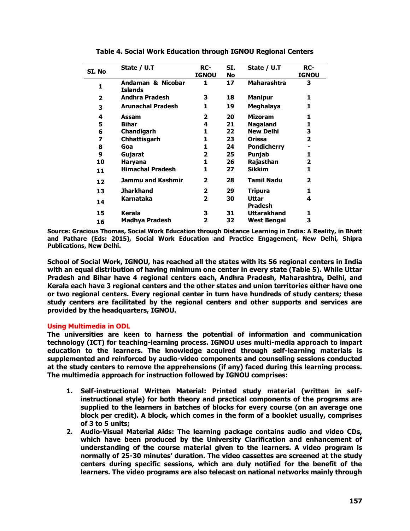| SI. No | State / U.T                         | RC-<br><b>IGNOU</b> | SI.<br><b>No</b> | State / U.T             | RC-<br><b>IGNOU</b> |
|--------|-------------------------------------|---------------------|------------------|-------------------------|---------------------|
|        |                                     |                     |                  |                         |                     |
| 1      | Andaman & Nicobar<br><b>Islands</b> | 1                   | 17               | <b>Maharashtra</b>      | 3                   |
| 2      | <b>Andhra Pradesh</b>               | 3                   | 18               | <b>Manipur</b>          | 1                   |
| 3      | <b>Arunachal Pradesh</b>            | 1                   | 19               | Meghalaya               | 1                   |
| 4      | Assam                               | 2                   | 20               | <b>Mizoram</b>          | 1                   |
| 5      | <b>Bihar</b>                        | 4                   | 21               | <b>Nagaland</b>         | 1                   |
| 6      | Chandigarh                          | 1                   | 22               | New Delhi               | 3                   |
| 7      | Chhattisgarh                        | 1                   | 23               | Orissa                  | 2                   |
| 8      | Goa                                 | 1                   | 24               | <b>Pondicherry</b>      |                     |
| 9      | Gujarat                             | 2                   | 25               | Punjab                  | 1                   |
| 10     | Haryana                             | 1                   | 26               | Rajasthan               | 2                   |
| 11     | <b>Himachal Pradesh</b>             | 1.                  | 27               | <b>Sikkim</b>           | 1                   |
| 12     | Jammu and Kashmir                   | 2                   | 28               | <b>Tamil Nadu</b>       | 2                   |
| 13     | <b>Jharkhand</b>                    | 2                   | 29               | Tripura                 | 1                   |
| 14     | Karnataka                           | 2                   | 30               | Uttar<br><b>Pradesh</b> | 4                   |
| 15     | Kerala                              | з                   | 31               | Uttarakhand             | 1                   |
| 16     | Madhya Pradesh                      | 2                   | 32               | West Bengal             | 3                   |

**Table 4. Social Work Education through IGNOU Regional Centers**

**Source: Gracious Thomas, Social Work Education through Distance Learning in India: A Reality, in Bhatt and Pathare (Eds: 2015), Social Work Education and Practice Engagement, New Delhi, Shipra Publications, New Delhi.**

**School of Social Work, IGNOU, has reached all the states with its 56 regional centers in India with an equal distribution of having minimum one center in every state (Table 5). While Uttar Pradesh and Bihar have 4 regional centers each, Andhra Pradesh, Maharashtra, Delhi, and Kerala each have 3 regional centers and the other states and union territories either have one or two regional centers. Every regional center in turn have hundreds of study centers; these study centers are facilitated by the regional centers and other supports and services are provided by the headquarters, IGNOU.**

## **Using Multimedia in ODL**

**The universities are keen to harness the potential of information and communication technology (ICT) for teaching-learning process. IGNOU uses multi-media approach to impart education to the learners. The knowledge acquired through self-learning materials is supplemented and reinforced by audio-video components and counseling sessions conducted at the study centers to remove the apprehensions (if any) faced during this learning process. The multimedia approach for instruction followed by IGNOU comprises:**

- **1. Self-instructional Written Material: Printed study material (written in selfinstructional style) for both theory and practical components of the programs are supplied to the learners in batches of blocks for every course (on an average one block per credit). A block, which comes in the form of a booklet usually, comprises of 3 to 5 units;**
- **2. Audio-Visual Material Aids: The learning package contains audio and video CDs, which have been produced by the University Clarification and enhancement of understanding of the course material given to the learners. A video program is normally of 25-30 minutes' duration. The video cassettes are screened at the study centers during specific sessions, which are duly notified for the benefit of the learners. The video programs are also telecast on national networks mainly through**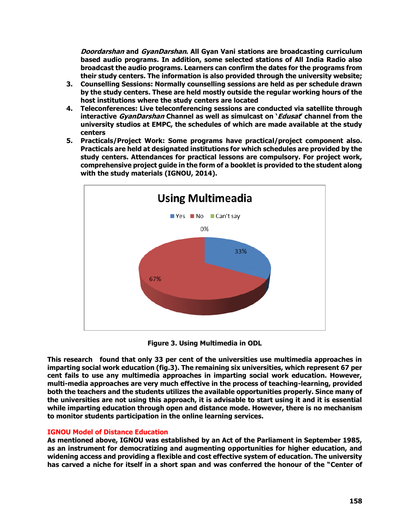**Doordarshan and GyanDarshan. All Gyan Vani stations are broadcasting curriculum based audio programs. In addition, some selected stations of All India Radio also broadcast the audio programs. Learners can confirm the dates for the programs from their study centers. The information is also provided through the university website;**

- **3. Counselling Sessions: Normally counselling sessions are held as per schedule drawn by the study centers. These are held mostly outside the regular working hours of the host institutions where the study centers are located**
- **4. Teleconferences: Live teleconferencing sessions are conducted via satellite through interactive GyanDarshan Channel as well as simulcast on 'Edusat' channel from the university studios at EMPC, the schedules of which are made available at the study centers**
- **5. Practicals/Project Work: Some programs have practical/project component also. Practicals are held at designated institutions for which schedules are provided by the study centers. Attendances for practical lessons are compulsory. For project work, comprehensive project guide in the form of a booklet is provided to the student along with the study materials (IGNOU, 2014).**



**Figure 3. Using Multimedia in ODL**

**This research found that only 33 per cent of the universities use multimedia approaches in imparting social work education (fig.3). The remaining six universities, which represent 67 per cent fails to use any multimedia approaches in imparting social work education. However, multi-media approaches are very much effective in the process of teaching-learning, provided both the teachers and the students utilizes the available opportunities properly. Since many of the universities are not using this approach, it is advisable to start using it and it is essential while imparting education through open and distance mode. However, there is no mechanism to monitor students participation in the online learning services.**

## **IGNOU Model of Distance Education**

**As mentioned above, IGNOU was established by an Act of the Parliament in September 1985, as an instrument for democratizing and augmenting opportunities for higher education, and widening access and providing a flexible and cost effective system of education. The university has carved a niche for itself in a short span and was conferred the honour of the "Center of**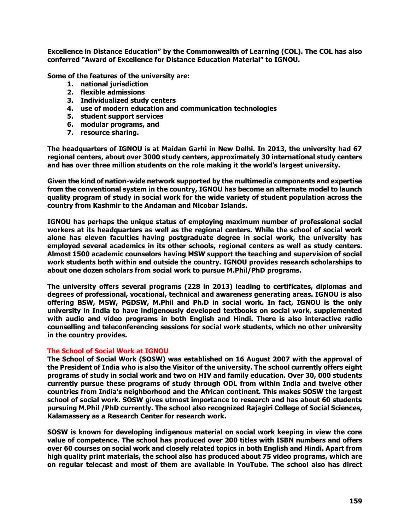**Excellence in Distance Education" by the Commonwealth of Learning (COL). The COL has also conferred "Award of Excellence for Distance Education Material" to IGNOU.**

**Some of the features of the university are:** 

- **1. national jurisdiction**
- **2. flexible admissions**
- **3. Individualized study centers**
- **4. use of modern education and communication technologies**
- **5. student support services**
- **6. modular programs, and**
- **7. resource sharing.**

**The headquarters of IGNOU is at Maidan Garhi in New Delhi. In 2013, the university had 67 regional centers, about over 3000 study centers, approximately 30 international study centers and has over three million students on the role making it the world's largest university.**

**Given the kind of nation-wide network supported by the multimedia components and expertise from the conventional system in the country, IGNOU has become an alternate model to launch quality program of study in social work for the wide variety of student population across the country from Kashmir to the Andaman and Nicobar Islands.**

**IGNOU has perhaps the unique status of employing maximum number of professional social workers at its headquarters as well as the regional centers. While the school of social work alone has eleven faculties having postgraduate degree in social work, the university has employed several academics in its other schools, regional centers as well as study centers. Almost 1500 academic counselors having MSW support the teaching and supervision of social work students both within and outside the country. IGNOU provides research scholarships to about one dozen scholars from social work to pursue M.Phil/PhD programs.**

**The university offers several programs (228 in 2013) leading to certificates, diplomas and degrees of professional, vocational, technical and awareness generating areas. IGNOU is also offering BSW, MSW, PGDSW, M.Phil and Ph.D in social work. In fact, IGNOU is the only university in India to have indigenously developed textbooks on social work, supplemented with audio and video programs in both English and Hindi. There is also interactive radio counselling and teleconferencing sessions for social work students, which no other university in the country provides.**

#### **The School of Social Work at IGNOU**

**The School of Social Work (SOSW) was established on 16 August 2007 with the approval of the President of India who is also the Visitor of the university. The school currently offers eight programs of study in social work and two on HIV and family education. Over 30, 000 students currently pursue these programs of study through ODL from within India and twelve other countries from India's neighborhood and the African continent. This makes SOSW the largest school of social work. SOSW gives utmost importance to research and has about 60 students pursuing M.Phil /PhD currently. The school also recognized Rajagiri College of Social Sciences, Kalamassery as a Research Center for research work.**

**SOSW is known for developing indigenous material on social work keeping in view the core value of competence. The school has produced over 200 titles with ISBN numbers and offers over 60 courses on social work and closely related topics in both English and Hindi. Apart from high quality print materials, the school also has produced about 75 video programs, which are on regular telecast and most of them are available in YouTube. The school also has direct**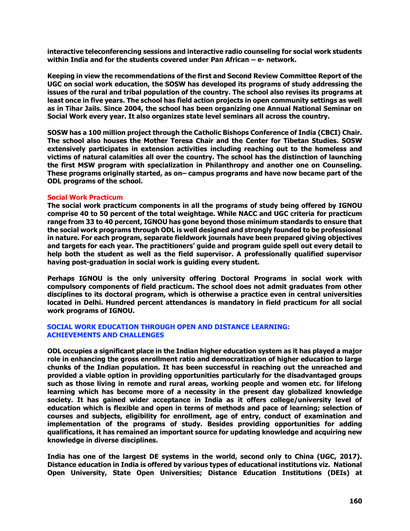**interactive teleconferencing sessions and interactive radio counseling for social work students within India and for the students covered under Pan African – e- network.**

**Keeping in view the recommendations of the first and Second Review Committee Report of the UGC on social work education, the SOSW has developed its programs of study addressing the issues of the rural and tribal population of the country. The school also revises its programs at least once in five years. The school has field action projects in open community settings as well as in Tihar Jails. Since 2004, the school has been organizing one Annual National Seminar on Social Work every year. It also organizes state level seminars all across the country.** 

**SOSW has a 100 million project through the Catholic Bishops Conference of India (CBCI) Chair. The school also houses the Mother Teresa Chair and the Center for Tibetan Studies. SOSW extensively participates in extension activities including reaching out to the homeless and victims of natural calamities all over the country. The school has the distinction of launching the first MSW program with specialization in Philanthropy and another one on Counseling. These programs originally started, as on– campus programs and have now became part of the ODL programs of the school.** 

#### **Social Work Practicum**

**The social work practicum components in all the programs of study being offered by IGNOU comprise 40 to 50 percent of the total weightage. While NACC and UGC criteria for practicum range from 33 to 40 percent, IGNOU has gone beyond those minimum standards to ensure that the social work programs through ODL is well designed and strongly founded to be professional in nature. For each program, separate fieldwork journals have been prepared giving objectives and targets for each year. The practitioners' guide and program guide spell out every detail to help both the student as well as the field supervisor. A professionally qualified supervisor having post-graduation in social work is guiding every student.**

**Perhaps IGNOU is the only university offering Doctoral Programs in social work with compulsory components of field practicum. The school does not admit graduates from other disciplines to its doctoral program, which is otherwise a practice even in central universities located in Delhi. Hundred percent attendances is mandatory in field practicum for all social work programs of IGNOU.**

#### **SOCIAL WORK EDUCATION THROUGH OPEN AND DISTANCE LEARNING: ACHIEVEMENTS AND CHALLENGES**

**ODL occupies a significant place in the Indian higher education system as it has played a major role in enhancing the gross enrollment ratio and democratization of higher education to large chunks of the Indian population. It has been successful in reaching out the unreached and provided a viable option in providing opportunities particularly for the disadvantaged groups such as those living in remote and rural areas, working people and women etc. for lifelong learning which has become more of a necessity in the present day globalized knowledge society. It has gained wider acceptance in India as it offers college/university level of education which is flexible and open in terms of methods and pace of learning; selection of courses and subjects, eligibility for enrollment, age of entry, conduct of examination and implementation of the programs of study. Besides providing opportunities for adding qualifications, it has remained an important source for updating knowledge and acquiring new knowledge in diverse disciplines.**

**India has one of the largest DE systems in the world, second only to China (UGC, 2017). Distance education in India is offered by various types of educational institutions viz. National Open University, State Open Universities; Distance Education Institutions (DEIs) at**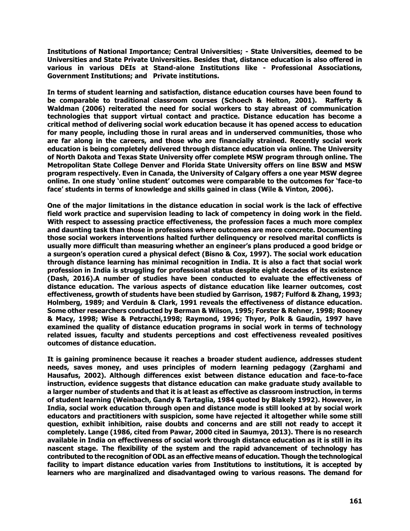**Institutions of National Importance; Central Universities; - State Universities, deemed to be Universities and State Private Universities. Besides that, distance education is also offered in various in various DEIs at Stand-alone Institutions like - Professional Associations, Government Institutions; and Private institutions.**

**In terms of student learning and satisfaction, distance education courses have been found to be comparable to traditional classroom courses (Schoech & Helton, 2001). Rafferty & Waldman (2006) reiterated the need for social workers to stay abreast of communication technologies that support virtual contact and practice. Distance education has become a critical method of delivering social work education because it has opened access to education for many people, including those in rural areas and in underserved communities, those who are far along in the careers, and those who are financially strained. Recently social work education is being completely delivered through distance education via online. The University of North Dakota and Texas State University offer complete MSW program through online. The Metropolitan State College Denver and Florida State University offers on line BSW and MSW program respectively. Even in Canada, the University of Calgary offers a one year MSW degree online. In one study 'online student' outcomes were comparable to the outcomes for 'face-to face' students in terms of knowledge and skills gained in class (Wile & Vinton, 2006).** 

**One of the major limitations in the distance education in social work is the lack of effective field work practice and supervision leading to lack of competency in doing work in the field. With respect to assessing practice effectiveness, the profession faces a much more complex and daunting task than those in professions where outcomes are more concrete. Documenting those social workers interventions halted further delinquency or resolved marital conflicts is usually more difficult than measuring whether an engineer's plans produced a good bridge or a surgeon's operation cured a physical defect (Bisno & Cox, 1997). The social work education through distance learning has minimal recognition in India. It is also a fact that social work profession in India is struggling for professional status despite eight decades of its existence (Dash, 2016).A number of studies have been conducted to evaluate the effectiveness of distance education. The various aspects of distance education like learner outcomes, cost effectiveness, growth of students have been studied by Garrison, 1987; Fulford & Zhang, 1993; Holmberg, 1989; and Verduin & Clark, 1991 reveals the effectiveness of distance education. Some other researchers conducted by Berman & Wilson, 1995; Forster & Rehner, 1998; Rooney & Macy, 1998; Wise & Petracchi,1998; Raymond, 1996; Thyer, Polk & Gaudin, 1997 have examined the quality of distance education programs in social work in terms of technology related issues, faculty and students perceptions and cost effectiveness revealed positives outcomes of distance education.**

**It is gaining prominence because it reaches a broader student audience, addresses student needs, saves money, and uses principles of modern learning pedagogy (Zarghami and Hausafus, 2002). Although differences exist between distance education and face-to-face instruction, evidence suggests that distance education can make graduate study available to a larger number of students and that it is at least as effective as classroom instruction, in terms of student learning (Weinbach, Gandy & Tartaglia, 1984 quoted by Blakely 1992). However, in India, social work education through open and distance mode is still looked at by social work educators and practitioners with suspicion, some have rejected it altogether while some still question, exhibit inhibition, raise doubts and concerns and are still not ready to accept it completely. Lange (1986, cited from Pawar, 2000 cited in Saumya, 2013). There is no research available in India on effectiveness of social work through distance education as it is still in its nascent stage. The flexibility of the system and the rapid advancement of technology has contributed to the recognition of ODL as an effective means of education. Though the technological facility to impart distance education varies from Institutions to institutions, it is accepted by learners who are marginalized and disadvantaged owing to various reasons. The demand for**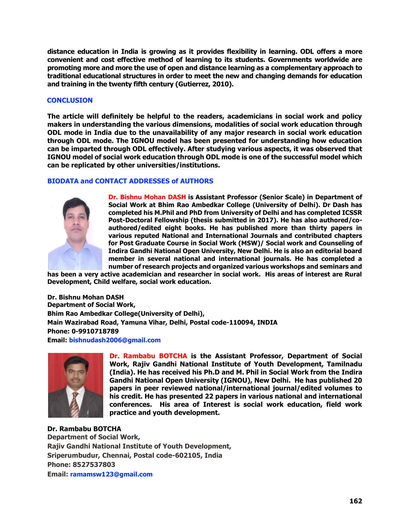**distance education in India is growing as it provides flexibility in learning. ODL offers a more convenient and cost effective method of learning to its students. Governments worldwide are promoting more and more the use of open and distance learning as a complementary approach to traditional educational structures in order to meet the new and changing demands for education and training in the twenty fifth century (Gutierrez, 2010).** 

## **CONCLUSION**

**The article will definitely be helpful to the readers, academicians in social work and policy makers in understanding the various dimensions, modalities of social work education through ODL mode in India due to the unavailability of any major research in social work education through ODL mode. The IGNOU model has been presented for understanding how education can be imparted through ODL effectively. After studying various aspects, it was observed that IGNOU model of social work education through ODL mode is one of the successful model which can be replicated by other universities/institutions.** 

## **BIODATA and CONTACT ADDRESSES of AUTHORS**



**Dr. Bishnu Mohan DASH is Assistant Professor (Senior Scale) in Department of Social Work at Bhim Rao Ambedkar College (University of Delhi). Dr Dash has completed his M.Phil and PhD from University of Delhi and has completed ICSSR Post-Doctoral Fellowship (thesis submitted in 2017). He has also authored/coauthored/edited eight books. He has published more than thirty papers in various reputed National and International Journals and contributed chapters for Post Graduate Course in Social Work (MSW)/ Social work and Counseling of Indira Gandhi National Open University, New Delhi. He is also an editorial board member in several national and international journals. He has completed a number of research projects and organized various workshops and seminars and** 

**has been a very active academician and researcher in social work. His areas of interest are Rural Development, Child welfare, social work education.**

**Dr. Bishnu Mohan DASH Department of Social Work, Bhim Rao Ambedkar College(University of Delhi), Main Wazirabad Road, Yamuna Vihar, Delhi, Postal code-110094, INDIA Phone: 0-9910718789 [Email: bishnudash2006@gmail.com](mailto:Email:%20bishnudash2006@gmail.com)**



**Dr. Rambabu BOTCHA is the Assistant Professor, Department of Social Work, Rajiv Gandhi National Institute of Youth Development, Tamilnadu (India). He has received his Ph.D and M. Phil in Social Work from the Indira Gandhi National Open University (IGNOU), New Delhi. He has published 20 papers in peer reviewed national/international journal/edited volumes to his credit. He has presented 22 papers in various national and international conferences. His area of Interest is social work education, field work practice and youth development.**

**Dr. Rambabu BOTCHA Department of Social Work, Rajiv Gandhi National Institute of Youth Development, Sriperumbudur, Chennai, Postal code-602105, India Phone: 8527537803 Email: [ramamsw123@gmail.com](mailto:ramamsw123@gmail.com)**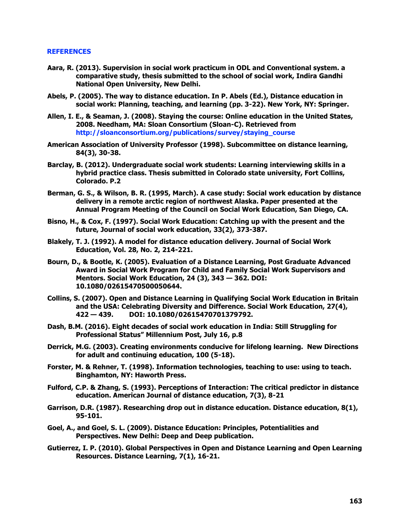#### **REFERENCES**

- **Aara, R. (2013). Supervision in social work practicum in ODL and Conventional system. a comparative study, thesis submitted to the school of social work, Indira Gandhi National Open University, New Delhi.**
- **Abels, P. (2005). The way to distance education. In P. Abels (Ed.), Distance education in social work: Planning, teaching, and learning (pp. 3-22). New York, NY: Springer.**
- **Allen, I. E., & Seaman, J. (2008). Staying the course: Online education in the United States, 2008. Needham, MA: Sloan Consortium (Sloan-C). Retrieved from [http://sloanconsortium.org/publications/survey/staying\\_course](http://sloanconsortium.org/publications/survey/staying_course)**
- **American Association of University Professor (1998). Subcommittee on distance learning, 84(3), 30-38.**
- **Barclay, B. (2012). Undergraduate social work students: Learning interviewing skills in a hybrid practice class. Thesis submitted in Colorado state university, Fort Collins, Colorado. P.2**
- **Berman, G. S., & Wilson, B. R. (1995, March). A case study: Social work education by distance delivery in a remote arctic region of northwest Alaska. Paper presented at the Annual Program Meeting of the Council on Social Work Education, San Diego, CA.**
- **Bisno, H., & Cox, F. (1997). Social Work Education: Catching up with the present and the future, Journal of social work education, 33(2), 373-387.**
- **Blakely, T. J. (1992). A model for distance education delivery. Journal of Social Work Education, Vol. 28, No. 2, 214-221.**
- **Bourn, D., & Bootle, K. (2005). Evaluation of a Distance Learning, Post Graduate Advanced Award in Social Work Program for Child and Family Social Work Supervisors and Mentors. Social Work Education, 24 (3), 343 — 362. DOI: 10.1080/02615470500050644.**
- **Collins, S. (2007). Open and Distance Learning in Qualifying Social Work Education in Britain and the USA: Celebrating Diversity and Difference. Social Work Education, 27(4), 422 — 439. DOI: 10.1080/02615470701379792.**
- **Dash, B.M. (2016). Eight decades of social work education in India: Still Struggling for Professional Status" Millennium Post, July 16, p.8**
- **Derrick, M.G. (2003). Creating environments conducive for lifelong learning. New Directions for adult and continuing education, 100 (5-18).**
- **Forster, M. & Rehner, T. (1998). Information technologies, teaching to use: using to teach. Binghamton, NY: Haworth Press.**
- **Fulford, C.P. & Zhang, S. (1993). Perceptions of Interaction: The critical predictor in distance education. American Journal of distance education, 7(3), 8-21**
- **Garrison, D.R. (1987). Researching drop out in distance education. Distance education, 8(1), 95-101.**
- **Goel, A., and Goel, S. L. (2009). Distance Education: Principles, Potentialities and Perspectives. New Delhi: Deep and Deep publication.**
- **[Gutierrez,](javascript:void(0);) I. P. (2010). Global Perspectives in Open and Distance Learning and Open Learning Resources. [Distance Learning,](file:///C:/pqdweb/ipanto%3fRQT=318&pmid=67077&TS=1279610877&clientId=43456&VInst=PROD&VName=PQD&VType=PQD) 7(1), 16-21.**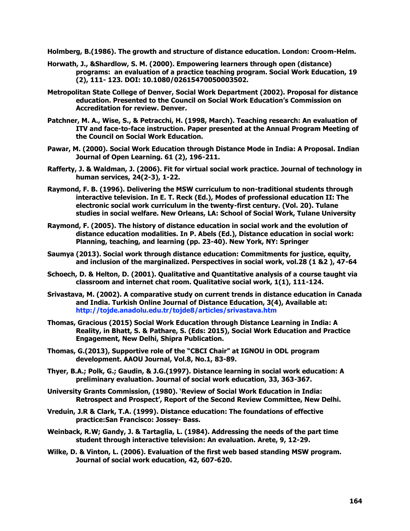**Holmberg, B.(1986). The growth and structure of distance education. London: Croom-Helm.**

- **Horwath, J., &Shardlow, S. M. (2000). Empowering learners through open (distance) programs: an evaluation of a practice teaching program. Social Work Education, 19 (2), 111- 123. DOI: 10.1080/02615470050003502.**
- **Metropolitan State College of Denver, Social Work Department (2002). Proposal for distance education. Presented to the Council on Social Work Education's Commission on Accreditation for review. Denver.**
- **Patchner, M. A., Wise, S., & Petracchi, H. (1998, March). Teaching research: An evaluation of ITV and face-to-face instruction. Paper presented at the Annual Program Meeting of the Council on Social Work Education.**
- **Pawar, M. (2000). Social Work Education through Distance Mode in India: A Proposal. Indian Journal of Open Learning. 61 (2), 196-211.**
- **Rafferty, J. & Waldman, J. (2006). Fit for virtual social work practice. Journal of technology in human services, 24(2-3), 1-22.**
- **Raymond, F. B. (1996). Delivering the MSW curriculum to non-traditional students through interactive television. In E. T. Reck (Ed.), Modes of professional education II: The electronic social work curriculum in the twenty-first century. (Vol. 20). Tulane studies in social welfare. New Orleans, LA: School of Social Work, Tulane University**
- **Raymond, F. (2005). The history of distance education in social work and the evolution of distance education modalities. In P. Abels (Ed.), Distance education in social work: Planning, teaching, and learning (pp. 23-40). New York, NY: Springer**
- **Saumya (2013). Social work through distance education: Commitments for justice, equity, and inclusion of the marginalized. Perspectives in social work, vol.28 (1 &2 ), 47-64**
- **Schoech, D. & Helton, D. (2001). Qualitative and Quantitative analysis of a course taught via classroom and internet chat room. Qualitative social work, 1(1), 111-124.**
- **Srivastava, M. (2002). A comparative study on current trends in distance education in Canada and India. Turkish Online Journal of Distance Education, 3(4), Available at: <http://tojde.anadolu.edu.tr/tojde8/articles/srivastava.htm>**
- **Thomas, Gracious (2015) Social Work Education through Distance Learning in India: A Reality, in Bhatt, S. & Pathare, S. (Eds: 2015), Social Work Education and Practice Engagement, New Delhi, Shipra Publication.**
- **Thomas, G.(2013), Supportive role of the "CBCI Chair" at IGNOU in ODL program development. AAOU Journal, Vol.8, No.1, 83-89.**
- **Thyer, B.A.; Polk, G.; Gaudin, & J.G.(1997). Distance learning in social work education: A preliminary evaluation. Journal of social work education, 33, 363-367.**
- **University Grants Commission, (1980). 'Review of Social Work Education in India: Retrospect and Prospect', Report of the Second Review Committee, New Delhi.**
- **Vreduin, J.R & Clark, T.A. (1999). Distance education: The foundations of effective practice:San Francisco: Jossey- Bass.**
- **Weinback, R.W; Gandy, J. & Tartaglia, L. (1984). Addressing the needs of the part time student through interactive television: An evaluation. Arete, 9, 12-29.**
- **Wilke, D. & Vinton, L. (2006). Evaluation of the first web based standing MSW program. Journal of social work education, 42, 607-620.**